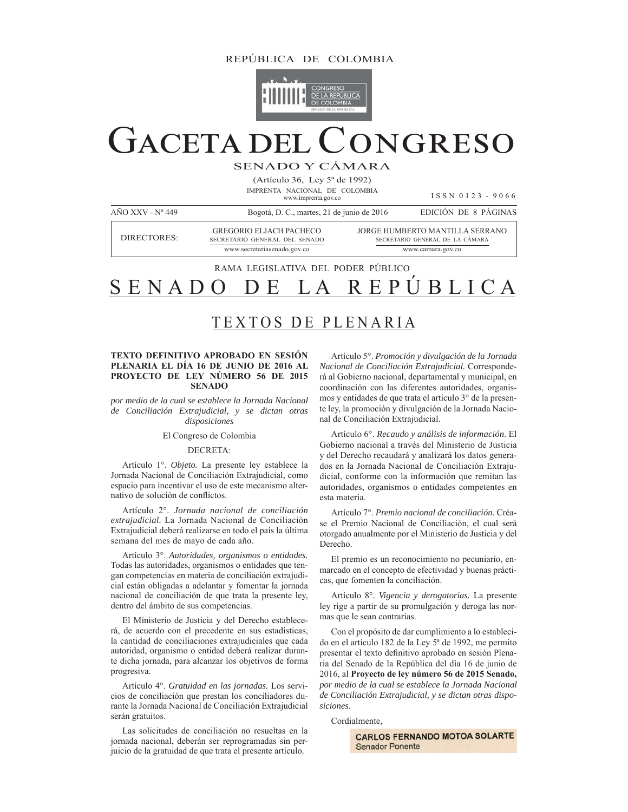# REPÚBLICA DE COLOMBIA



# CONGRESO **GACETA DEL C**

SENADO Y CÁMARA

(Artículo 36, Ley 5<sup>ª</sup> de 1992) IMPRENTA NACIONAL DE COLOMBIA www.imprenta.gov.co

ISSN 0123 - 9066

AÑO XXV - Nº 449 Bogotá, D. C., martes, 21 de junio de 2016 EDICIÓN DE 8 PÁGINAS GREGORIO ELJACH PACHECO JORGE HUMBERTO MANTILLA SERRANO **DIRECTORES:** SECRETARIO GENERAL DEL SENADO SECRETARIO GENERAL DE LA CÁMARA www.secretariasenado.gov.co www.camara.gov.co

RAMA LEGISLATIVA DEL PODER PÚBLICO

#### ÚBLICA SENAD P R E

# TEXTOS DE PLENARIA

## TEXTO DEFINITIVO APROBADO EN SESIÓN PLENARIA EL DÍA 16 DE JUNIO DE 2016 AL PROYECTO DE LEY NÚMERO 56 DE 2015 **SENADO**

por medio de la cual se establece la Jornada Nacional de Conciliación Extrajudicial, y se dictan otras disposiciones

## El Congreso de Colombia

# DECRETA:

Artículo 1°. Objeto. La presente ley establece la Jornada Nacional de Conciliación Extrajudicial, como espacio para incentivar el uso de este mecanismo alternativo de solución de conflictos.

Artículo 2°. Jornada nacional de conciliación extrajudicial. La Jornada Nacional de Conciliación Extrajudicial deberá realizarse en todo el país la última semana del mes de mayo de cada año.

Artículo 3°. Autoridades, organismos o entidades. Todas las autoridades, organismos o entidades que tengan competencias en materia de conciliación extrajudicial están obligadas a adelantar y fomentar la jornada nacional de conciliación de que trata la presente ley, dentro del ámbito de sus competencias.

El Ministerio de Justicia y del Derecho establecerá, de acuerdo con el precedente en sus estadísticas, la cantidad de conciliaciones extrajudiciales que cada autoridad, organismo o entidad deberá realizar durante dicha jornada, para alcanzar los objetivos de forma progresiva.

Artículo 4°. Gratuidad en las jornadas. Los servicios de conciliación que prestan los conciliadores durante la Jornada Nacional de Conciliación Extrajudicial serán gratuitos.

Las solicitudes de conciliación no resueltas en la jornada nacional, deberán ser reprogramadas sin perjuicio de la gratuidad de que trata el presente artículo.

Artículo 5°. Promoción y divulgación de la Jornada Nacional de Conciliación Extrajudicial. Corresponderá al Gobierno nacional, departamental y municipal, en coordinación con las diferentes autoridades, organismos y entidades de que trata el artículo 3° de la presente ley, la promoción y divulgación de la Jornada Nacional de Conciliación Extrajudicial.

Artículo 6°. Recaudo y análisis de información. El Gobierno nacional a través del Ministerio de Justicia y del Derecho recaudará y analizará los datos generados en la Jornada Nacional de Conciliación Extrajudicial, conforme con la información que remitan las autoridades, organismos o entidades competentes en esta materia.

Artículo 7°. Premio nacional de conciliación. Créase el Premio Nacional de Conciliación, el cual será otorgado anualmente por el Ministerio de Justicia y del Derecho.

El premio es un reconocimiento no pecuniario, enmarcado en el concepto de efectividad y buenas prácticas, que fomenten la conciliación.

Artículo 8°. Vigencia y derogatorias. La presente ley rige a partir de su promulgación y deroga las normas que le sean contrarias.

Con el propósito de dar cumplimiento a lo establecido en el artículo 182 de la Ley 5<sup>ª</sup> de 1992, me permito presentar el texto definitivo aprobado en sesión Plenaria del Senado de la República del día 16 de junio de 2016, al Provecto de lev número 56 de 2015 Senado, por medio de la cual se establece la Jornada Nacional de Conciliación Extrajudicial, y se dictan otras disposiciones.

Cordialmente.

**CARLOS FERNANDO MOTOA SOLARTE Senador Ponente**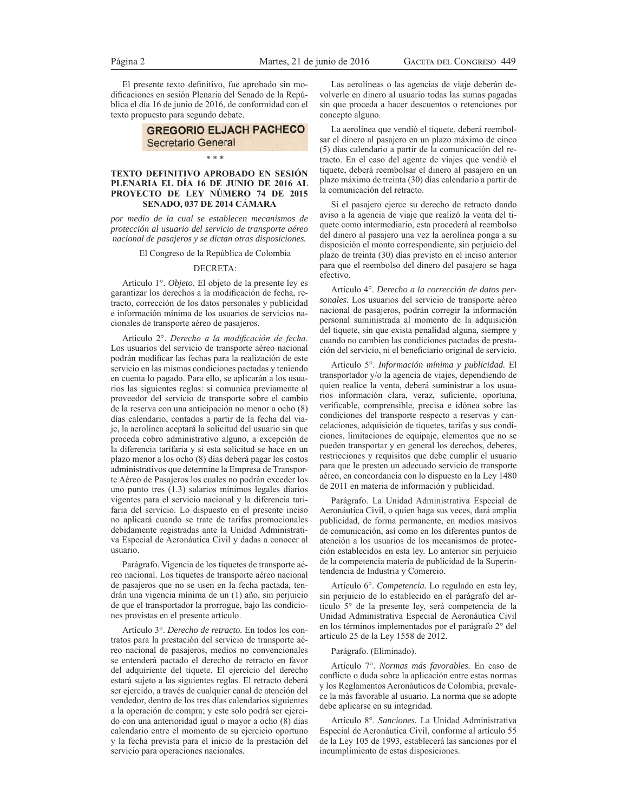El presente texto definitivo, fue aprobado sin modificaciones en sesión Plenaria del Senado de la República el día 16 de junio de 2016, de conformidad con el texto propuesto para segundo debate.

# **GREGORIO ELJACH PACHECO** Secretario General

## $* * *$

#### TEXTO DEFINITIVO APROBADO EN SESIÓN PLENARIA EL DÍA 16 DE JUNIO DE 2016 AL PROYECTO DE LEY NÚMERO 74 DE 2015 SENADO, 037 DE 2014 CÁMARA

por medio de la cual se establecen mecanismos de protección al usuario del servicio de transporte aéreo nacional de pasajeros y se dictan otras disposiciones.

#### El Congreso de la República de Colombia

#### **DECRETA:**

Artículo 1°. Objeto. El objeto de la presente ley es garantizar los derechos a la modificación de fecha, retracto, corrección de los datos personales y publicidad e información mínima de los usuarios de servicios nacionales de transporte aéreo de pasajeros.

Artículo 2°. Derecho a la modificación de fecha. Los usuarios del servicio de transporte aéreo nacional podrán modificar las fechas para la realización de este servicio en las mismas condiciones pactadas y teniendo en cuenta lo pagado. Para ello, se aplicarán a los usuarios las siguientes reglas: si comunica previamente al proveedor del servicio de transporte sobre el cambio de la reserva con una anticipación no menor a ocho (8) días calendario, contados a partir de la fecha del viaje, la aerolínea aceptará la solicitud del usuario sin que proceda cobro administrativo alguno, a excepción de la diferencia tarifaria y si esta solicitud se hace en un plazo menor a los ocho (8) días deberá pagar los costos administrativos que determine la Empresa de Transporte Aéreo de Pasajeros los cuales no podrán exceder los uno punto tres  $(1.3)$  salarios mínimos legales diarios vigentes para el servicio nacional y la diferencia tarifaria del servicio. Lo dispuesto en el presente inciso no aplicará cuando se trate de tarifas promocionales debidamente registradas ante la Unidad Administrativa Especial de Aeronáutica Civil y dadas a conocer al usuario

Parágrafo. Vigencia de los tiquetes de transporte aéreo nacional. Los tiquetes de transporte aéreo nacional de pasajeros que no se usen en la fecha pactada, tendrán una vigencia mínima de un (1) año, sin perjuicio de que el transportador la prorrogue, bajo las condiciones provistas en el presente artículo.

Artículo 3°. Derecho de retracto. En todos los contratos para la prestación del servicio de transporte aéreo nacional de pasajeros, medios no convencionales se entenderá pactado el derecho de retracto en favor del adquiriente del tiquete. El ejercicio del derecho estará sujeto a las siguientes reglas. El retracto deberá ser ejercido, a través de cualquier canal de atención del vendedor, dentro de los tres días calendarios siguientes a la operación de compra; y este solo podrá ser ejercido con una anterioridad igual o mayor a ocho (8) días calendario entre el momento de su ejercicio oportuno y la fecha prevista para el inicio de la prestación del servicio para operaciones nacionales.

Las aerolíneas o las agencias de viaje deberán devolverle en dinero al usuario todas las sumas pagadas sin que proceda a hacer descuentos o retenciones por concepto alguno.

La aerolínea que vendió el tiquete, deberá reembolsar el dinero al pasajero en un plazo máximo de cinco (5) días calendario a partir de la comunicación del retracto. En el caso del agente de viajes que vendió el tiquete, deberá reembolsar el dinero al pasajero en un plazo máximo de treinta (30) días calendario a partir de la comunicación del retracto.

Si el pasajero ejerce su derecho de retracto dando aviso a la agencia de viaje que realizó la venta del tiquete como intermediario, esta procederá al reembolso del dinero al pasajero una vez la aerolínea ponga a su disposición el monto correspondiente, sin perjuicio del plazo de treinta (30) días previsto en el inciso anterior para que el reembolso del dinero del pasajero se haga efectivo.

Artículo 4°. Derecho a la corrección de datos personales. Los usuarios del servicio de transporte aéreo nacional de pasajeros, podrán corregir la información personal suministrada al momento de la adquisición del tiquete, sin que exista penalidad alguna, siempre y cuando no cambien las condiciones pactadas de prestación del servicio, ni el beneficiario original de servicio.

Artículo 5°. Información mínima y publicidad. El transportador y/o la agencia de viajes, dependiendo de quien realice la venta, deberá suministrar a los usuarios información clara, veraz, suficiente, oportuna, verificable, comprensible, precisa e idónea sobre las condiciones del transporte respecto a reservas y cancelaciones, adquisición de tiquetes, tarifas y sus condiciones, limitaciones de equipaje, elementos que no se pueden transportar y en general los derechos, deberes, restricciones y requisitos que debe cumplir el usuario para que le presten un adecuado servicio de transporte aéreo, en concordancia con lo dispuesto en la Ley 1480 de 2011 en materia de información y publicidad.

Parágrafo. La Unidad Administrativa Especial de Aeronáutica Civil, o quien haga sus veces, dará amplia publicidad, de forma permanente, en medios masivos de comunicación, así como en los diferentes puntos de atención a los usuarios de los mecanismos de protección establecidos en esta ley. Lo anterior sin perjuicio de la competencia materia de publicidad de la Superintendencia de Industria y Comercio.

Artículo 6°. Competencia. Lo regulado en esta ley, sin perjuicio de lo establecido en el parágrafo del artículo 5° de la presente ley, será competencia de la Unidad Administrativa Especial de Aeronáutica Civil en los términos implementados por el parágrafo 2° del artículo 25 de la Ley 1558 de 2012.

#### Parágrafo. (Eliminado).

Artículo 7°. Normas más favorables. En caso de conflicto o duda sobre la aplicación entre estas normas y los Reglamentos Aeronáuticos de Colombia, prevalece la más favorable al usuario. La norma que se adopte debe aplicarse en su integridad.

Artículo 8°. Sanciones. La Unidad Administrativa Especial de Aeronáutica Civil, conforme al artículo 55 de la Ley 105 de 1993, establecerá las sanciones por el incumplimiento de estas disposiciones.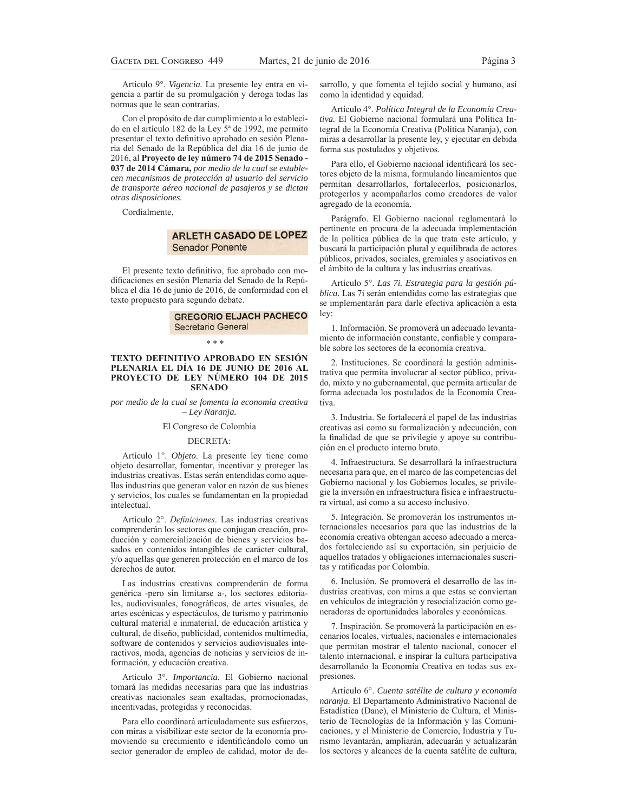Artículo 9°. Vigencia. La presente ley entra en vigencia a partir de su promulgación y deroga todas las normas que le sean contrarias.

Con el propósito de dar cumplimiento a lo establecido en el artículo 182 de la Ley 5<sup>ª</sup> de 1992, me permito presentar el texto definitivo aprobado en sesión Plenaria del Senado de la República del día 16 de junio de DO**Proyecto de ley número 74 de 2015 Senado - 037 de 2014 Cámara,** *por medio de la cual se establecen mecanismos de protección al usuario del servicio de transporte aéreo nacional de pasajeros y se dictan otras disposiciones.*

Cordialmente,

# **ARLETH CASADO DE LOPEZ Senador Ponente**

El presente texto definitivo, fue aprobado con modificaciones en sesión Plenaria del Senado de la República el día 16 de junio de 2016, de conformidad con el texto propuesto para segundo debate.

# **GREGORIO ELJACH PACHECO** Secretario General

 $* * *$ 

#### **TEXTO DEFINITIVO APROBADO EN SESIÓN PLENARIA EL DÍA 16 DE JUNIO DE 2016 AL PROYECTO DE LEY NÚMERO 104 DE 2015 SENADO**

*por medio de la cual se fomenta la economía creativa – Ley Naranja.*

#### El Congreso de Colombia

#### DECRETA:

Artículo 1°. Objeto. La presente ley tiene como objeto desarrollar, fomentar, incentivar y proteger las industrias creativas. Estas serán entendidas como aquellas industrias que generan valor en razón de sus bienes y servicios, los cuales se fundamentan en la propiedad intelectual.

Artículo 2°. Definiciones. Las industrias creativas comprenderán los sectores que conjugan creación, producción y comercialización de bienes y servicios basados en contenidos intangibles de carácter cultural, y/o aquellas que generen protección en el marco de los derechos de autor.

Las industrias creativas comprenderán de forma genérica -pero sin limitarse a-, los sectores editoriales, audiovisuales, fonográficos, de artes visuales, de artes escénicas y espectáculos, de turismo y patrimonio cultural material e inmaterial, de educación artística y cultural, de diseño, publicidad, contenidos multimedia, software de contenidos y servicios audiovisuales interactivos, moda, agencias de noticias y servicios de información, y educación creativa.

Artículo 3°. Importancia. El Gobierno nacional tomará las medidas necesarias para que las industrias creativas nacionales sean exaltadas, promocionadas, incentivadas, protegidas y reconocidas.

Para ello coordinará articuladamente sus esfuerzos, con miras a visibilizar este sector de la economía promoviendo su crecimiento e identificándolo como un sector generador de empleo de calidad, motor de desarrollo, y que fomenta el tejido social y humano, así como la identidad y equidad.

Artículo <sup>4°</sup>. Política Integral de la Economía Creativa. El Gobierno nacional formulará una Política Integral de la Economía Creativa (Política Naranja), con miras a desarrollar la presente ley, y ejecutar en debida forma sus postulados y objetivos.

Para ello, el Gobierno nacional identificará los sectores objeto de la misma, formulando lineamientos que permitan desarrollarlos, fortalecerlos, posicionarlos, protegerlos y acompañarlos como creadores de valor agregado de la economía.

Parágrafo. El Gobierno nacional reglamentará lo pertinente en procura de la adecuada implementación de la política pública de la que trata este artículo, y buscará la participación plural y equilibrada de actores públicos, privados, sociales, gremiales y asociativos en el ámbito de la cultura y las industrias creativas.

Artículo 5°. Las 7i. Estrategia para la gestión pú*blica*. Las 7i serán entendidas como las estrategias que se implementarán para darle efectiva aplicación a esta lev:

1. Información. Se promoverá un adecuado levantamiento de información constante, confiable y comparable sobre los sectores de la economía creativa.

2. Instituciones. Se coordinará la gestión administrativa que permita involucrar al sector público, privado, mixto y no gubernamental, que permita articular de forma adecuada los postulados de la Economía Creativa.

3. Industria. Se fortalecerá el papel de las industrias creativas así como su formalización y adecuación, con la finalidad de que se privilegie y apoye su contribución en el producto interno bruto.

4. Infraestructura. Se desarrollará la infraestructura necesaria para que, en el marco de las competencias del Gobierno nacional y los Gobiernos locales, se privilegie la inversión en infraestructura física e infraestructura virtual, así como a su acceso inclusivo.

5. Integración. Se promoverán los instrumentos internacionales necesarios para que las industrias de la economía creativa obtengan acceso adecuado a mercados fortaleciendo así su exportación, sin perjuicio de aquellos tratados y obligaciones internacionales suscritas y ratificadas por Colombia.

6. Inclusión. Se promoverá el desarrollo de las industrias creativas, con miras a que estas se conviertan en vehículos de integración y resocialización como generadoras de oportunidades laborales y económicas.

7. Inspiración. Se promoverá la participación en escenarios locales, virtuales, nacionales e internacionales que permitan mostrar el talento nacional, conocer el talento internacional, e inspirar la cultura participativa desarrollando la Economía Creativa en todas sus expresiones.

Artículo 6<sup>°</sup>. Cuenta satélite de cultura y economía *naranja*. El Departamento Administrativo Nacional de Estadística (Dane), el Ministerio de Cultura, el Ministerio de Tecnologías de la Información y las Comunicaciones, y el Ministerio de Comercio, Industria y Turismo levantarán, ampliarán, adecuarán y actualizarán los sectores y alcances de la cuenta satélite de cultura,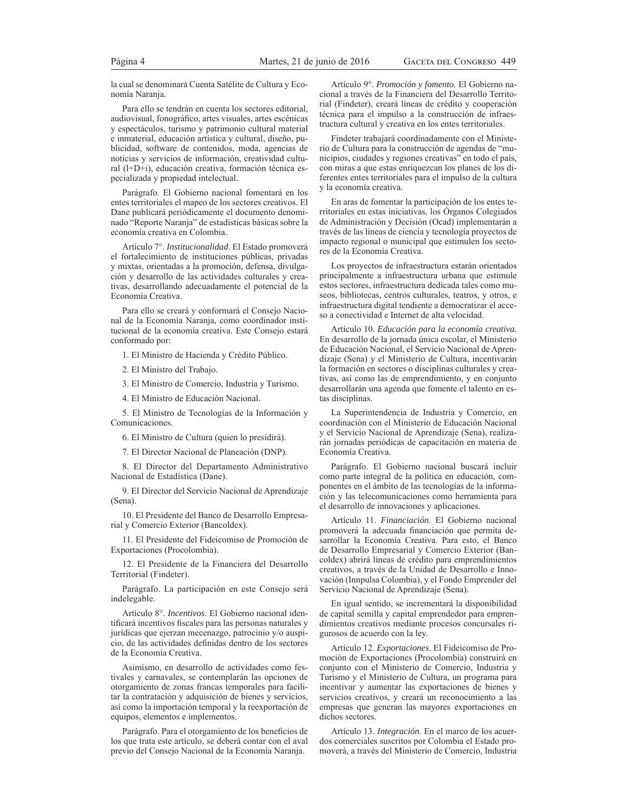la cual se denominará Cuenta Satélite de Cultura y Economía Naranja.

Para ello se tendrán en cuenta los sectores editorial, audiovisual, fonográfico, artes visuales, artes escénicas y espectáculos, turismo y patrimonio cultural material e inmaterial, educación artística y cultural, diseño, publicidad, software de contenidos, moda, agencias de noticias y servicios de información, creatividad cultural (l+D+i), educación creativa, formación técnica especializada y propiedad intelectual.

Parágrafo. El Gobierno nacional fomentará en los entes territoriales el mapeo de los sectores creativos. El Dane publicará periódicamente el documento denominado "Reporte Naranja" de estadísticas básicas sobre la economía creativa en Colombia.

Artículo 7°. Institucionalidad. El Estado promoverá el fortalecimiento de instituciones públicas, privadas y mixtas, orientadas a la promoción, defensa, divulgación y desarrollo de las actividades culturales y creativas, desarrollando adecuadamente el potencial de la Economía Creativa

Para ello se creará y conformará el Consejo Nacional de la Economía Naranja, como coordinador institucional de la economía creativa. Este Consejo estará conformado por:

1. El Ministro de Hacienda y Crédito Público.

2. El Ministro del Trabajo.

3. El Ministro de Comercio, Industria y Turismo.

4. El Ministro de Educación Nacional.

5. El Ministro de Tecnologías de la Información y Comunicaciones.

6. El Ministro de Cultura (quien lo presidirá).

7. El Director Nacional de Planeación (DNP).

8. El Director del Departamento Administrativo Nacional de Estadística (Dane).

9. El Director del Servicio Nacional de Aprendizaje (Sena).

10. El Presidente del Banco de Desarrollo Empresarial y Comercio Exterior (Bancoldex).

11. El Presidente del Fideicomiso de Promoción de Exportaciones (Procolombia).

12. El Presidente de la Financiera del Desarrollo Territorial (Findeter).

Parágrafo. La participación en este Consejo será indelegable.

Artículo 8°. Incentivos. El Gobierno nacional identificará incentivos fiscales para las personas naturales y jurídicas que ejerzan mecenazgo, patrocinio y/o auspicio, de las actividades definidas dentro de los sectores de la Economía Creativa.

Asimismo, en desarrollo de actividades como festivales y carnavales, se contemplarán las opciones de otorgamiento de zonas francas temporales para facilitar la contratación y adquisición de bienes y servicios, así como la importación temporal y la reexportación de equipos, elementos e implementos.

Parágrafo. Para el otorgamiento de los beneficios de los que trata este artículo, se deberá contar con el aval previo del Consejo Nacional de la Economía Naranja.

Artículo 9°. Promoción y fomento. El Gobierno nacional a través de la Financiera del Desarrollo Territorial (Findeter), creará líneas de crédito y cooperación técnica para el impulso a la construcción de infraestructura cultural y creativa en los entes territoriales.

Findeter trabajará coordinadamente con el Ministerio de Cultura para la construcción de agendas de "municipios, ciudades y regiones creativas" en todo el país, con miras a que estas enriquezcan los planes de los diferentes entes territoriales para el impulso de la cultura y la economía creativa.

En aras de fomentar la participación de los entes territoriales en estas iniciativas, los Órganos Colegiados de Administración y Decisión (Ocad) implementarán a través de las líneas de ciencia y tecnología proyectos de impacto regional o municipal que estimulen los sectores de la Economía Creativa.

Los proyectos de infraestructura estarán orientados principalmente a infraestructura urbana que estimule estos sectores, infraestructura dedicada tales como museos, bibliotecas, centros culturales, teatros, y otros, e infraestructura digital tendiente a democratizar el acceso a conectividad e Internet de alta velocidad.

Artículo 10. Educación para la economía creativa. En desarrollo de la jornada única escolar, el Ministerio de Educación Nacional, el Servicio Nacional de Aprendizaje (Sena) y el Ministerio de Cultura, incentivarán la formación en sectores o disciplinas culturales y creativas, así como las de emprendimiento, y en conjunto desarrollarán una agenda que fomente el talento en estas disciplinas.

La Superintendencia de Industria y Comercio, en coordinación con el Ministerio de Educación Nacional y el Servicio Nacional de Aprendizaje (Sena), realizarán jornadas periódicas de capacitación en materia de Economía Creativa.

Parágrafo. El Gobierno nacional buscará incluir como parte integral de la política en educación, componentes en el ámbito de las tecnologías de la información y las telecomunicaciones como herramienta para el desarrollo de innovaciones y aplicaciones.

Artículo 11. Financiación. El Gobierno nacional promoverá la adecuada financiación que permita desarrollar la Economía Creativa. Para esto, el Banco de Desarrollo Empresarial y Comercio Exterior (Bancoldex) abrirá líneas de crédito para emprendimientos creativos, a través de la Unidad de Desarrollo e Innovación (Innpulsa Colombia), y el Fondo Emprender del Servicio Nacional de Aprendizaje (Sena).

En igual sentido, se incrementará la disponibilidad de capital semilla y capital emprendedor para emprendimientos creativos mediante procesos concursales rigurosos de acuerdo con la ley.

Artículo 12. Exportaciones. El Fideicomiso de Promoción de Exportaciones (Procolombia) construirá en conjunto con el Ministerio de Comercio, Industria y Turismo y el Ministerio de Cultura, un programa para incentivar y aumentar las exportaciones de bienes y servicios creativos, y creará un reconocimiento a las empresas que generan las mayores exportaciones en dichos sectores.

Artículo 13. Integración. En el marco de los acuerdos comerciales suscritos por Colombia el Estado promoverá, a través del Ministerio de Comercio, Industria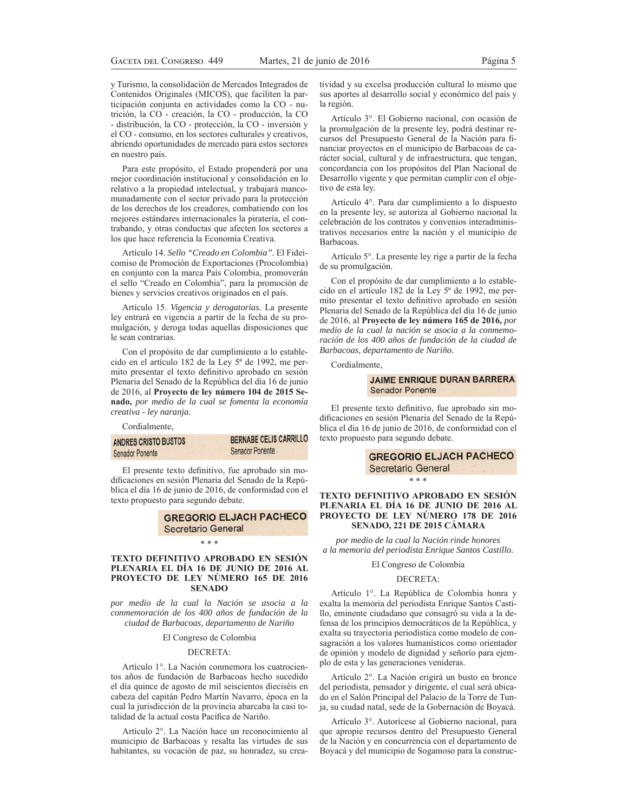y Turismo, la consolidación de Mercados Integrados de Contenidos Originales (MICOS), que faciliten la participación conjunta en actividades como la CO - nutrición, la CO - creación, la CO - producción, la CO - distribución, la CO - protección, la CO - inversión y el CO - consumo, en los sectores culturales y creativos, abriendo oportunidades de mercado para estos sectores en nuestro país.

Para este propósito, el Estado propenderá por una mejor coordinación institucional y consolidación en lo relativo a la propiedad intelectual, y trabajará mancomunadamente con el sector privado para la protección de los derechos de los creadores, combatiendo con los mejores estándares internacionales la piratería, el contrabando, y otras conductas que afecten los sectores a los que hace referencia la Economía Creativa.

Artículo 14. Sello "Creado en Colombia". El Fideicomiso de Promoción de Exportaciones (Procolombia) en conjunto con la marca País Colombia, promoverán el sello "Creado en Colombia", para la promoción de bienes y servicios creativos originados en el país.

Artículo 15. Vigencia y derogatorias. La presente ley entrará en vigencia a partir de la fecha de su promulgación, y deroga todas aquellas disposiciones que le sean contrarias.

Con el propósito de dar cumplimiento a lo establecido en el artículo 182 de la Ley 5<sup>ª</sup> de 1992, me permito presentar el texto definitivo aprobado en sesión Plenaria del Senado de la República del día 16 de junio de 2016, al Proyecto de ley número 104 de 2015 Senado, por medio de la cual se fomenta la economía creativa - ley naranja.

Cordialmente,

| ANDRES CRISTO BUSTOS<br><b>Senador Ponente</b> | BERNABE CELIS CARRILLO |  |
|------------------------------------------------|------------------------|--|
|                                                | Senador Ponente        |  |

El presente texto definitivo, fue aprobado sin modificaciones en sesión Plenaria del Senado de la República el día 16 de junio de 2016, de conformidad con el texto propuesto para segundo debate.

# **GREGORIO ELJACH PACHECO** Secretario General

\* \* \*

## TEXTO DEFINITIVO APROBADO EN SESIÓN PLENARIA EL DÍA 16 DE JUNIO DE 2016 AL PROYECTO DE LEY NÚMERO 165 DE 2016 **SENADO**

por medio de la cual la Nación se asocia a la conmemoración de los 400 años de fundación de la ciudad de Barbacoas, departamento de Nariño

#### El Congreso de Colombia

#### DECRETA:

Artículo 1°. La Nación conmemora los cuatrocientos años de fundación de Barbacoas hecho sucedido el día quince de agosto de mil seiscientos dieciséis en cabeza del capitán Pedro Martín Navarro, época en la cual la jurisdicción de la provincia abarcaba la casi totalidad de la actual costa Pacífica de Nariño.

Artículo 2°. La Nación hace un reconocimiento al municipio de Barbacoas y resalta las virtudes de sus habitantes, su vocación de paz, su honradez, su creatividad y su excelsa producción cultural lo mismo que sus aportes al desarrollo social y económico del país y la región.

Artículo 3°. El Gobierno nacional, con ocasión de la promulgación de la presente ley, podrá destinar recursos del Presupuesto General de la Nación para financiar proyectos en el municipio de Barbacoas de carácter social, cultural y de infraestructura, que tengan, concordancia con los propósitos del Plan Nacional de Desarrollo vigente y que permitan cumplir con el objetivo de esta lev.

Artículo 4°. Para dar cumplimiento a lo dispuesto en la presente ley, se autoriza al Gobierno nacional la celebración de los contratos y convenios interadministrativos necesarios entre la nación y el municipio de Barbacoas.

Artículo 5°. La presente ley rige a partir de la fecha de su promulgación.

Con el propósito de dar cumplimiento a lo establecido en el artículo 182 de la Ley 5<sup>ª</sup> de 1992, me permito presentar el texto definitivo aprobado en sesión Plenaria del Senado de la República del día 16 de junio de 2016, al Proyecto de ley número 165 de 2016, por medio de la cual la nación se asocia a la conmemoración de los 400 años de fundación de la ciudad de Barbacoas, departamento de Nariño.

Cordialmente,

# **JAIME ENRIQUE DURAN BARRERA Senador Ponente**

El presente texto definitivo, fue aprobado sin modificaciones en sesión Plenaria del Senado de la República el día 16 de junio de 2016, de conformidad con el texto propuesto para segundo debate.

> **GREGORIO ELJACH PACHECO Secretario General**

TEXTO DEFINITIVO APROBADO EN SESIÓN PLENARIA EL DÍA 16 DE JUNIO DE 2016 AL PROYECTO DE LEY NÚMERO 178 DE 2016 SENADO, 221 DE 2015 CÁMARA

\* \* \*

por medio de la cual la Nación rinde honores a la memoria del periodista Enrique Santos Castillo.

El Congreso de Colombia

#### DECRETA:

Artículo 1°. La República de Colombia honra y exalta la memoria del periodista Enrique Santos Castillo, eminente ciudadano que consagró su vida a la defensa de los principios democráticos de la República, y exalta su trayectoria periodística como modelo de consagración a los valores humanísticos como orientador de opinión y modelo de dignidad y señorío para ejemplo de esta y las generaciones venideras.

Artículo 2°. La Nación erigirá un busto en bronce del periodista, pensador y dirigente, el cual será ubicado en el Salón Principal del Palacio de la Torre de Tunja, su ciudad natal, sede de la Gobernación de Boyacá.

Artículo 3°. Autorícese al Gobierno nacional, para que apropie recursos dentro del Presupuesto General de la Nación y en concurrencia con el departamento de Boyacá y del municipio de Sogamoso para la construc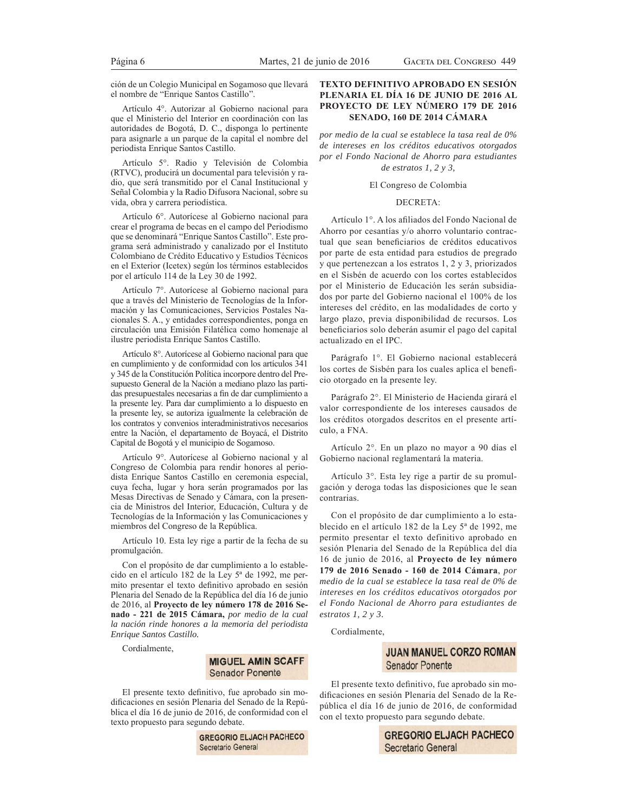ción de un Colegio Municipal en Sogamoso que llevará el nombre de "Enrique Santos Castillo".

Artículo 4°. Autorizar al Gobierno nacional para que el Ministerio del Interior en coordinación con las autoridades de Bogotá, D. C., disponga lo pertinente para asignarle a un parque de la capital el nombre del periodista Enrique Santos Castillo.

Artículo 5°. Radio y Televisión de Colombia (RTVC), producirá un documental para televisión y radio, que será transmitido por el Canal Institucional y Señal Colombia y la Radio Difusora Nacional, sobre su vida, obra y carrera periodística.

Artículo 6°. Autorícese al Gobierno nacional para crear el programa de becas en el campo del Periodismo que se denominará "Enrique Santos Castillo". Este programa será administrado y canalizado por el Instituto Colombiano de Crédito Educativo y Estudios Técnicos en el Exterior (Icetex) según los términos establecidos por el artículo 114 de la Ley 30 de 1992.

Artículo 7°. Autorícese al Gobierno nacional para que a través del Ministerio de Tecnologías de la Información y las Comunicaciones, Servicios Postales Nacionales S. A., y entidades correspondientes, ponga en circulación una Emisión Filatélica como homenaje al ilustre periodista Enrique Santos Castillo.

Artículo 8°. Autorícese al Gobierno nacional para que en cumplimiento y de conformidad con los artículos 341 y 345 de la Constitución Política incorpore dentro del Presupuesto General de la Nación a mediano plazo las partidas presupuestales necesarias a fin de dar cumplimiento a la presente ley. Para dar cumplimiento a lo dispuesto en la presente ley, se autoriza igualmente la celebración de los contratos y convenios interadministrativos necesarios entre la Nación, el departamento de Boyacá, el Distrito Capital de Bogotá y el municipio de Sogamoso.

Artículo 9°. Autorícese al Gobierno nacional y al Congreso de Colombia para rendir honores al periodista Enrique Santos Castillo en ceremonia especial, cuya fecha, lugar y hora serán programados por las Mesas Directivas de Senado y Cámara, con la presencia de Ministros del Interior, Educación, Cultura y de Tecnologías de la Información y las Comunicaciones y miembros del Congreso de la República.

Artículo 10. Esta ley rige a partir de la fecha de su promulgación.

Con el propósito de dar cumplimiento a lo establecido en el artículo 182 de la Ley 5ª de 1992, me permito presentar el texto definitivo aprobado en sesión Plenaria del Senado de la República del día 16 de junio de 2016, al Proyecto de ley número 178 de 2016 Senado - 221 de 2015 Cámara, por medio de la cual la nación rinde honores a la memoria del periodista Enrique Santos Castillo.

Cordialmente,

**MIGUEL AMIN SCAFF Senador Ponente** 

El presente texto definitivo, fue aprobado sin modificaciones en sesión Plenaria del Senado de la República el día 16 de junio de 2016, de conformidad con el texto propuesto para segundo debate.

> **GREGORIO ELJACH PACHECO** Secretario General

# **TEXTO DEFINITIVO APROBADO EN SESIÓN** PLENARIA EL DÍA 16 DE JUNIO DE 2016 AL PROYECTO DE LEY NÚMERO 179 DE 2016 SENADO, 160 DE 2014 CÁMARA

por medio de la cual se establece la tasa real de 0% de intereses en los créditos educativos otorgados por el Fondo Nacional de Ahorro para estudiantes de estratos 1, 2 y 3,

# El Congreso de Colombia

#### DECRETA:

Artículo 1°. A los afiliados del Fondo Nacional de Ahorro por cesantías y/o ahorro voluntario contractual que sean beneficiarios de créditos educativos por parte de esta entidad para estudios de pregrado y que pertenezcan a los estratos 1, 2 y 3, priorizados en el Sisbén de acuerdo con los cortes establecidos por el Ministerio de Educación les serán subsidiados por parte del Gobierno nacional el 100% de los intereses del crédito, en las modalidades de corto y largo plazo, previa disponibilidad de recursos. Los beneficiarios solo deberán asumir el pago del capital actualizado en el IPC.

Parágrafo 1°. El Gobierno nacional establecerá los cortes de Sisbén para los cuales aplica el beneficio otorgado en la presente ley.

Parágrafo 2°. El Ministerio de Hacienda girará el valor correspondiente de los intereses causados de los créditos otorgados descritos en el presente artículo. a FNA.

Artículo 2°. En un plazo no mayor a 90 días el Gobierno nacional reglamentará la materia.

Artículo 3<sup>°</sup>. Esta ley rige a partir de su promulgación y deroga todas las disposiciones que le sean contrarias.

Con el propósito de dar cumplimiento a lo establecido en el artículo 182 de la Ley 5<sup>ª</sup> de 1992, me permito presentar el texto definitivo aprobado en sesión Plenaria del Senado de la República del día 16 de junio de 2016, al Proyecto de ley número 179 de 2016 Senado - 160 de 2014 Cámara, por medio de la cual se establece la tasa real de 0% de intereses en los créditos educativos otorgados por el Fondo Nacional de Ahorro para estudiantes de estratos  $1, 2, y, 3$ .

Cordialmente,

# **JUAN MANUEL CORZO ROMAN Senador Ponente**

El presente texto definitivo, fue aprobado sin modificaciones en sesión Plenaria del Senado de la República el día 16 de junio de 2016, de conformidad con el texto propuesto para segundo debate.

| <b>GREGORIO ELJACH PACHECO</b> |  |
|--------------------------------|--|
| Secretario General             |  |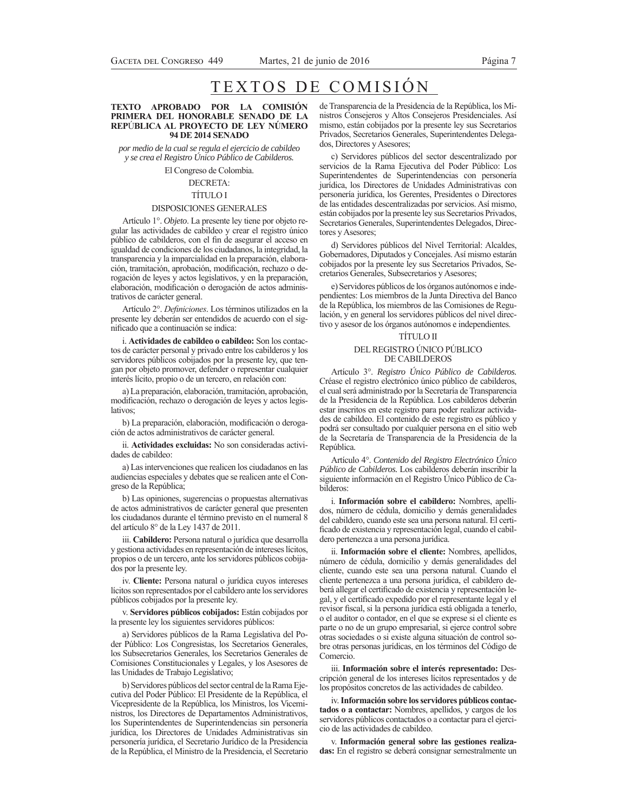# Página 7

# TEXTOS DE COMISIÓN

#### TEXTO APROBADO POR LA COMISIÓN PRIMERA DEL HONORABLE SENADO DE LA REPÚBLICA AL PROYECTO DE LEY NÚMERO **94 DE 2014 SENADO**

por medio de la cual se regula el ejercicio de cabildeo y se crea el Registro Único Público de Cabilderos.

El Congreso de Colombia.

# **DECRETA:**

# **TÍTULO I**

#### DISPOSICIONES GENERALES

Artículo 1°. Objeto. La presente ley tiene por objeto regular las actividades de cabildeo y crear el registro único público de cabilderos, con el fin de asegurar el acceso en igualdad de condiciones de los ciudadanos, la integridad, la transparencia y la imparcialidad en la preparación, elaboración, tramitación, aprobación, modificación, rechazo o derogación de leyes y actos legislativos, y en la preparación, elaboración, modificación o derogación de actos administrativos de carácter general.

Artículo 2°. Definiciones. Los términos utilizados en la presente ley deberán ser entendidos de acuerdo con el significado que a continuación se indica:

i. Actividades de cabildeo o cabildeo: Son los contactos de carácter personal y privado entre los cabilderos y los servidores públicos cobijados por la presente ley, que tengan por objeto promover, defender o representar cualquier interés lícito, propio o de un tercero, en relación con:

a) La preparación, elaboración, tramitación, aprobación, modificación, rechazo o derogación de leyes y actos legislativos<sup>-</sup>

b) La preparación, elaboración, modificación o derogación de actos administrativos de carácter general.

ii. Actividades excluidas: No son consideradas actividades de cabildeo:

a) Las intervenciones que realicen los ciudadanos en las audiencias especiales y debates que se realicen ante el Congreso de la República;

b) Las opiniones, sugerencias o propuestas alternativas de actos administrativos de carácter general que presenten los ciudadanos durante el término previsto en el numeral 8 del artículo 8° de la Ley 1437 de 2011.

iii. Cabildero: Persona natural o jurídica que desarrolla y gestiona actividades en representación de intereses lícitos, propios o de un tercero, ante los servidores públicos cobijados por la presente ley.

iv. Cliente: Persona natural o jurídica cuyos intereses lícitos son representados por el cabildero ante los servidores públicos cobijados por la presente ley.

v. Servidores públicos cobijados: Están cobijados por la presente ley los siguientes servidores públicos:

a) Servidores públicos de la Rama Legislativa del Poder Público: Los Congresistas, los Secretarios Generales, los Subsecretarios Generales, los Secretarios Generales de Comisiones Constitucionales y Legales, y los Asesores de las Unidades de Trabajo Legislativo;

b) Servidores públicos del sector central de la Rama Ejecutiva del Poder Público: El Presidente de la República, el Vicepresidente de la República, los Ministros, los Viceministros, los Directores de Departamentos Administrativos, los Superintendentes de Superintendencias sin personería jurídica, los Directores de Unidades Administrativas sin personería jurídica, el Secretario Jurídico de la Presidencia de la República, el Ministro de la Presidencia, el Secretario

de Transparencia de la Presidencia de la República, los Ministros Consejeros y Altos Consejeros Presidenciales. Así mismo, están cobijados por la presente ley sus Secretarios Privados, Secretarios Generales, Superintendentes Delegados, Directores y Asesores;

c) Servidores públicos del sector descentralizado por servicios de la Rama Ejecutiva del Poder Público: Los Superintendentes de Superintendencias con personería jurídica, los Directores de Unidades Administrativas con personería jurídica, los Gerentes, Presidentes o Directores de las entidades descentralizadas por servicios. Así mismo, están cobijados por la presente ley sus Secretarios Privados, Secretarios Generales, Superintendentes Delegados, Directores y Asesores;

d) Servidores públicos del Nivel Territorial: Alcaldes, Gobernadores, Diputados y Concejales. Así mismo estarán cobijados por la presente ley sus Secretarios Privados, Secretarios Generales, Subsecretarios y Asesores;

e) Servidores públicos de los órganos autónomos e independientes: Los miembros de la Junta Directiva del Banco de la República, los miembros de las Comisiones de Regulación, y en general los servidores públicos del nivel directivo y asesor de los órganos autónomos e independientes.

# **TÍTULO II** DEL REGISTRO ÚNICO PÚBLICO DE CABILDEROS

Artículo 3°. Registro Único Público de Cabilderos. Créase el registro electrónico único público de cabilderos, el cual será administrado por la Secretaría de Transparencia de la Presidencia de la República. Los cabilderos deberán estar inscritos en este registro para poder realizar actividades de cabildeo. El contenido de este registro es público y podrá ser consultado por cualquier persona en el sitio web de la Secretaría de Transparencia de la Presidencia de la República.

Artículo 4°. Contenido del Registro Electrónico Único Público de Cabilderos. Los cabilderos deberán inscribir la siguiente información en el Registro Único Público de Cabilderos:

i. Información sobre el cabildero: Nombres, apellidos, número de cédula, domicilio y demás generalidades del cabildero, cuando este sea una persona natural. El certificado de existencia y representación legal, cuando el cabildero pertenezca a una persona jurídica.

ii. Información sobre el cliente: Nombres, apellidos, número de cédula, domicilio y demás generalidades del cliente, cuando este sea una persona natural. Cuando el cliente pertenezca a una persona jurídica, el cabildero deberá allegar el certificado de existencia y representación legal, y el certificado expedido por el representante legal y el revisor fiscal, si la persona jurídica está obligada a tenerlo, o el auditor o contador, en el que se exprese si el cliente es parte o no de un grupo empresarial, si ejerce control sobre otras sociedades o si existe alguna situación de control sobre otras personas jurídicas, en los términos del Código de Comercio.

iii. Información sobre el interés representado: Descripción general de los intereses lícitos representados y de los propósitos concretos de las actividades de cabildeo.

iv. Información sobre los servidores públicos contactados o a contactar: Nombres, apellidos, y cargos de los servidores públicos contactados o a contactar para el ejercicio de las actividades de cabildeo.

v. Información general sobre las gestiones realizadas: En el registro se deberá consignar semestralmente un